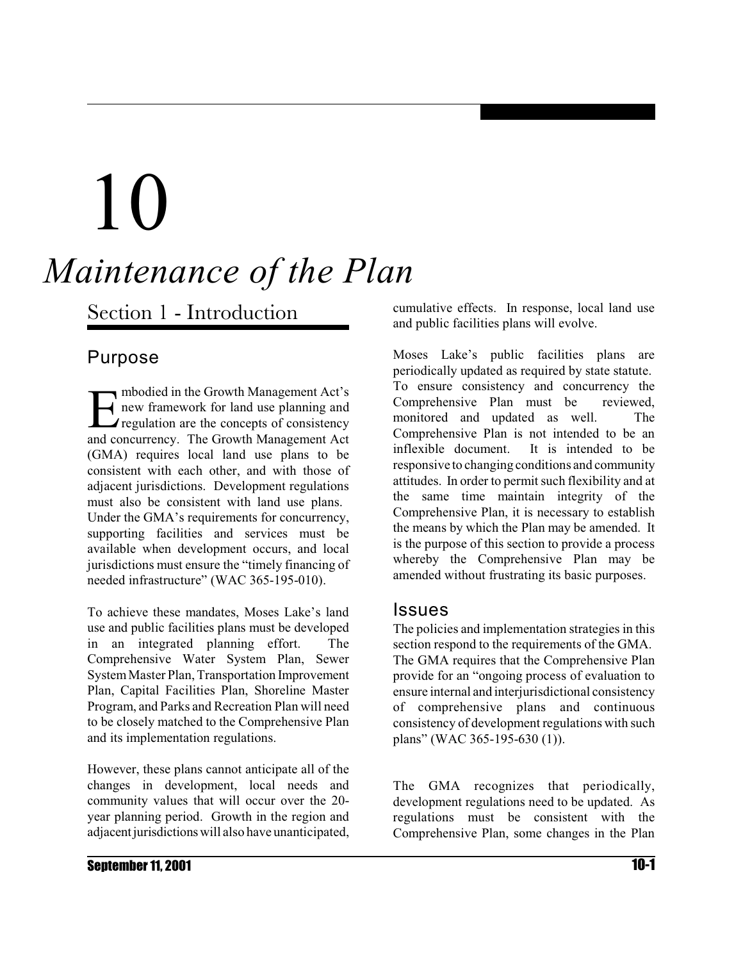# 10 *Maintenance of the Plan*

Section 1 - Introduction

#### Purpose

E mbodied in the Growth Management Act's new framework for land use planning and  $\blacktriangle$  regulation are the concepts of consistency and concurrency. The Growth Management Act (GMA) requires local land use plans to be consistent with each other, and with those of adjacent jurisdictions. Development regulations must also be consistent with land use plans. Under the GMA's requirements for concurrency, supporting facilities and services must be available when development occurs, and local jurisdictions must ensure the "timely financing of needed infrastructure" (WAC 365-195-010).

To achieve these mandates, Moses Lake's land use and public facilities plans must be developed in an integrated planning effort. The Comprehensive Water System Plan, Sewer System Master Plan, Transportation Improvement Plan, Capital Facilities Plan, Shoreline Master Program, and Parks and Recreation Plan will need to be closely matched to the Comprehensive Plan and its implementation regulations.

However, these plans cannot anticipate all of the changes in development, local needs and community values that will occur over the 20 year planning period. Growth in the region and adjacent jurisdictions will also have unanticipated, cumulative effects. In response, local land use and public facilities plans will evolve.

Moses Lake's public facilities plans are periodically updated as required by state statute. To ensure consistency and concurrency the Comprehensive Plan must be reviewed, monitored and updated as well. The Comprehensive Plan is not intended to be an inflexible document. It is intended to be responsive to changing conditions and community attitudes. In order to permit such flexibility and at the same time maintain integrity of the Comprehensive Plan, it is necessary to establish the means by which the Plan may be amended. It is the purpose of this section to provide a process whereby the Comprehensive Plan may be amended without frustrating its basic purposes.

#### Issues

The policies and implementation strategies in this section respond to the requirements of the GMA. The GMA requires that the Comprehensive Plan provide for an "ongoing process of evaluation to ensure internal and interjurisdictional consistency of comprehensive plans and continuous consistency of development regulations with such plans" (WAC 365-195-630 (1)).

The GMA recognizes that periodically, development regulations need to be updated. As regulations must be consistent with the Comprehensive Plan, some changes in the Plan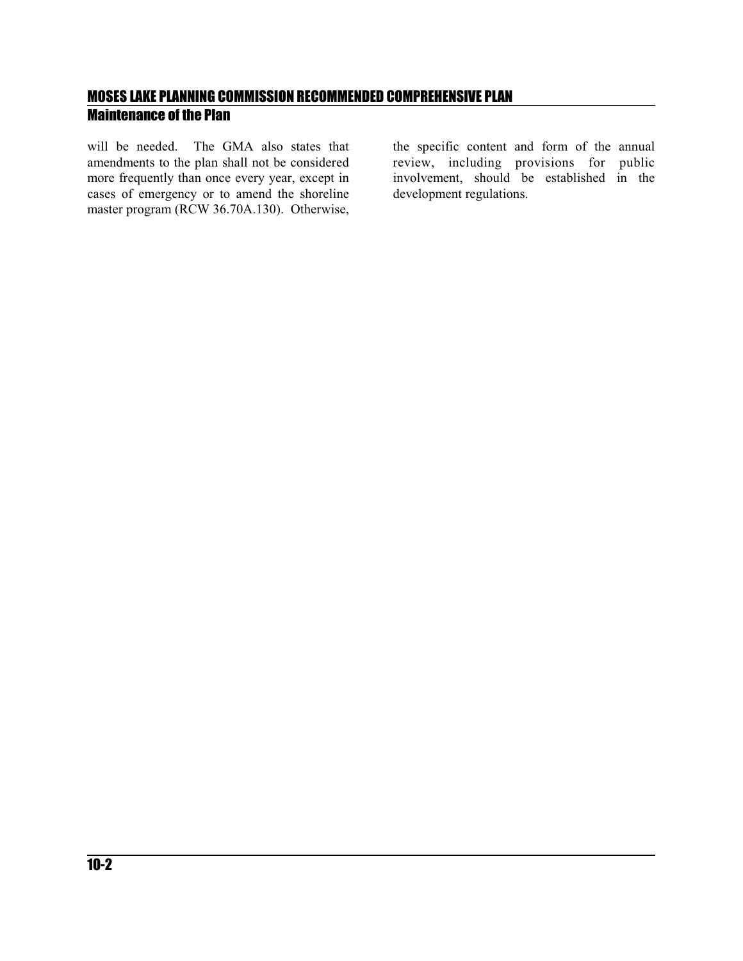will be needed. The GMA also states that amendments to the plan shall not be considered more frequently than once every year, except in cases of emergency or to amend the shoreline master program (RCW 36.70A.130). Otherwise,

the specific content and form of the annual review, including provisions for public involvement, should be established in the development regulations.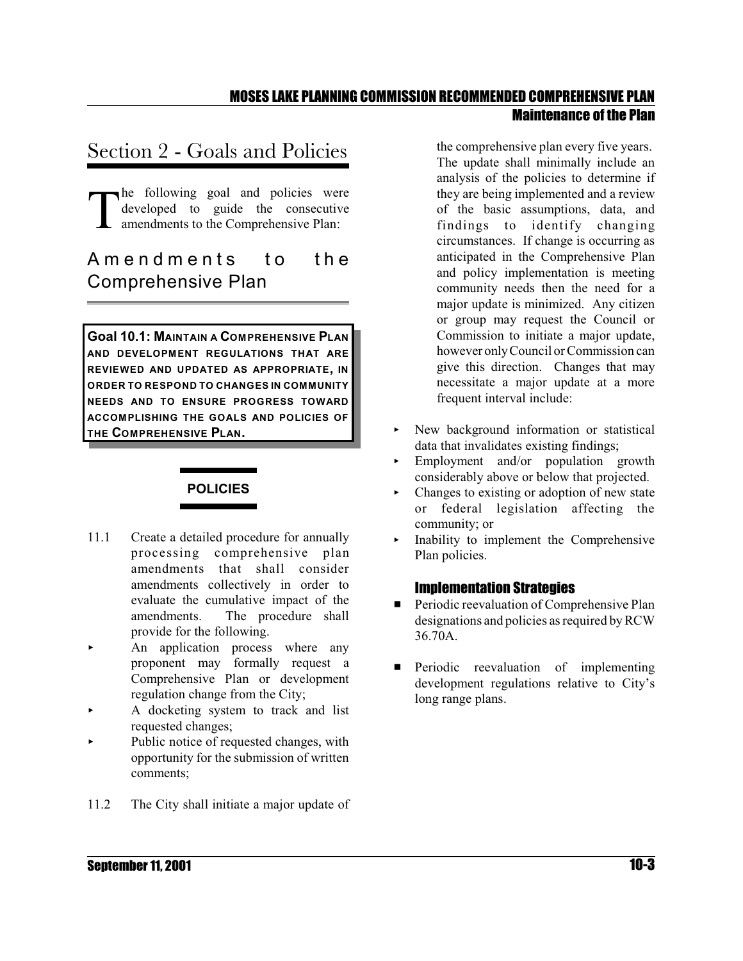## Section 2 - Goals and Policies

T he following goal and policies were developed to guide the consecutive amendments to the Comprehensive Plan:

### A m e n d m e n t s t o the Comprehensive Plan

**Goal 10.1: MAINTAIN A COMPREHENSIVE PLAN AND DEVELOPMENT REGULATIONS THAT ARE REVIEWED AND UPDATED AS APPROPRIATE, IN ORDER TO RESPOND TO CHANGES IN COMMUNITY NEEDS AND TO ENSURE PROGRESS TOWARD ACCOMPLISHING THE GOALS AND POLICIES OF THE COMPREHENSIVE PLAN.**

#### **POLICIES**

- 11.1 Create a detailed procedure for annually processing comprehensive plan amendments that shall consider amendments collectively in order to evaluate the cumulative impact of the amendments. The procedure shall provide for the following.
- An application process where any proponent may formally request a Comprehensive Plan or development regulation change from the City;
- < A docketing system to track and list requested changes;
- Public notice of requested changes, with opportunity for the submission of written comments;
- 11.2 The City shall initiate a major update of

the comprehensive plan every five years. The update shall minimally include an analysis of the policies to determine if they are being implemented and a review of the basic assumptions, data, and findings to identify changing circumstances. If change is occurring as anticipated in the Comprehensive Plan and policy implementation is meeting community needs then the need for a major update is minimized. Any citizen or group may request the Council or Commission to initiate a major update, however onlyCouncil or Commission can give this direction. Changes that may necessitate a major update at a more frequent interval include:

- < New background information or statistical data that invalidates existing findings;
- Employment and/or population growth considerably above or below that projected.
- $\triangleright$  Changes to existing or adoption of new state or federal legislation affecting the community; or
- < Inability to implement the Comprehensive Plan policies.

#### Implementation Strategies

- **EXECUTE:** Periodic reevaluation of Comprehensive Plan designations and policies as required by RCW 36.70A.
- **Exercise** Periodic reevaluation of implementing development regulations relative to City's long range plans.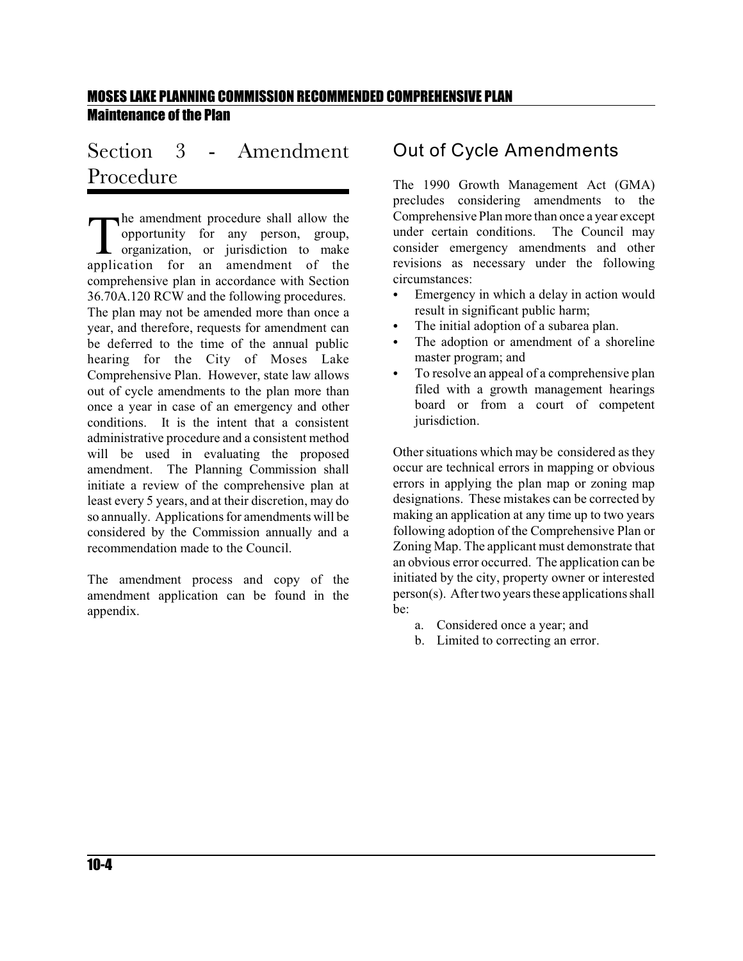## Section 3 - Amendment Procedure

The amendment procedure shall allow the opportunity for any person, group, organization, or jurisdiction to make application for an amendment of the he amendment procedure shall allow the opportunity for any person, group, organization, or jurisdiction to make comprehensive plan in accordance with Section 36.70A.120 RCW and the following procedures. The plan may not be amended more than once a year, and therefore, requests for amendment can be deferred to the time of the annual public hearing for the City of Moses Lake Comprehensive Plan. However, state law allows out of cycle amendments to the plan more than once a year in case of an emergency and other conditions. It is the intent that a consistent administrative procedure and a consistent method will be used in evaluating the proposed amendment. The Planning Commission shall initiate a review of the comprehensive plan at least every 5 years, and at their discretion, may do so annually. Applications for amendments will be considered by the Commission annually and a recommendation made to the Council.

The amendment process and copy of the amendment application can be found in the appendix.

#### Out of Cycle Amendments

The 1990 Growth Management Act (GMA) precludes considering amendments to the Comprehensive Plan more than once a year except under certain conditions. The Council may consider emergency amendments and other revisions as necessary under the following circumstances:

- Emergency in which a delay in action would result in significant public harm;
- The initial adoption of a subarea plan.
- The adoption or amendment of a shoreline master program; and
- To resolve an appeal of a comprehensive plan filed with a growth management hearings board or from a court of competent jurisdiction.

Other situations which may be considered as they occur are technical errors in mapping or obvious errors in applying the plan map or zoning map designations. These mistakes can be corrected by making an application at any time up to two years following adoption of the Comprehensive Plan or Zoning Map. The applicant must demonstrate that an obvious error occurred. The application can be initiated by the city, property owner or interested  $person(s)$ . After two years these applications shall be:

- a. Considered once a year; and
- b. Limited to correcting an error.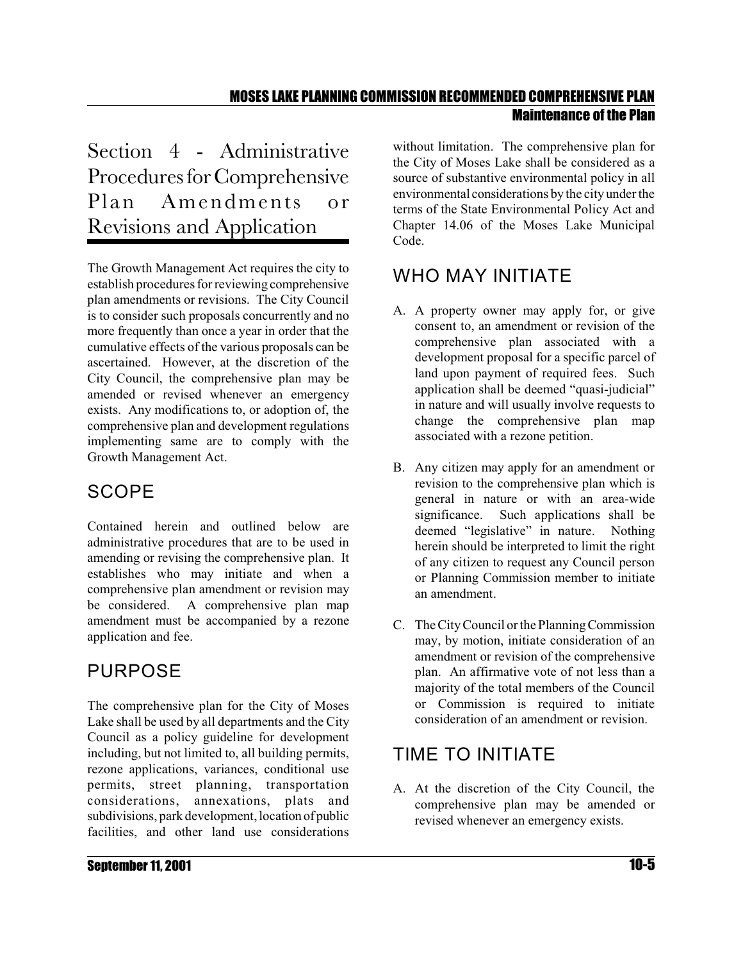Section 4 - Administrative Procedures for Comprehensive Plan Amendments or Revisions and Application

The Growth Management Act requires the city to establish procedures forreviewing comprehensive plan amendments or revisions. The City Council is to consider such proposals concurrently and no more frequently than once a year in order that the cumulative effects of the various proposals can be ascertained. However, at the discretion of the City Council, the comprehensive plan may be amended or revised whenever an emergency exists. Any modifications to, or adoption of, the comprehensive plan and development regulations implementing same are to comply with the Growth Management Act.

## **SCOPE**

Contained herein and outlined below are administrative procedures that are to be used in amending or revising the comprehensive plan. It establishes who may initiate and when a comprehensive plan amendment or revision may be considered. A comprehensive plan map amendment must be accompanied by a rezone application and fee.

## PURPOSE

The comprehensive plan for the City of Moses Lake shall be used by all departments and the City Council as a policy guideline for development including, but not limited to, all building permits, rezone applications, variances, conditional use permits, street planning, transportation considerations, annexations, plats and subdivisions, park development, location of public facilities, and other land use considerations

without limitation. The comprehensive plan for the City of Moses Lake shall be considered as a source of substantive environmental policy in all environmental considerations by the city under the terms of the State Environmental Policy Act and Chapter 14.06 of the Moses Lake Municipal Code.

## WHO MAY INITIATE

- A. A property owner may apply for, or give consent to, an amendment or revision of the comprehensive plan associated with a development proposal for a specific parcel of land upon payment of required fees. Such application shall be deemed "quasi-judicial" in nature and will usually involve requests to change the comprehensive plan map associated with a rezone petition.
- B. Any citizen may apply for an amendment or revision to the comprehensive plan which is general in nature or with an area-wide significance. Such applications shall be deemed "legislative" in nature. Nothing herein should be interpreted to limit the right of any citizen to request any Council person or Planning Commission member to initiate an amendment.
- C. The City Council or the Planning Commission may, by motion, initiate consideration of an amendment or revision of the comprehensive plan. An affirmative vote of not less than a majority of the total members of the Council or Commission is required to initiate consideration of an amendment or revision.

## TIME TO INITIATE

A. At the discretion of the City Council, the comprehensive plan may be amended or revised whenever an emergency exists.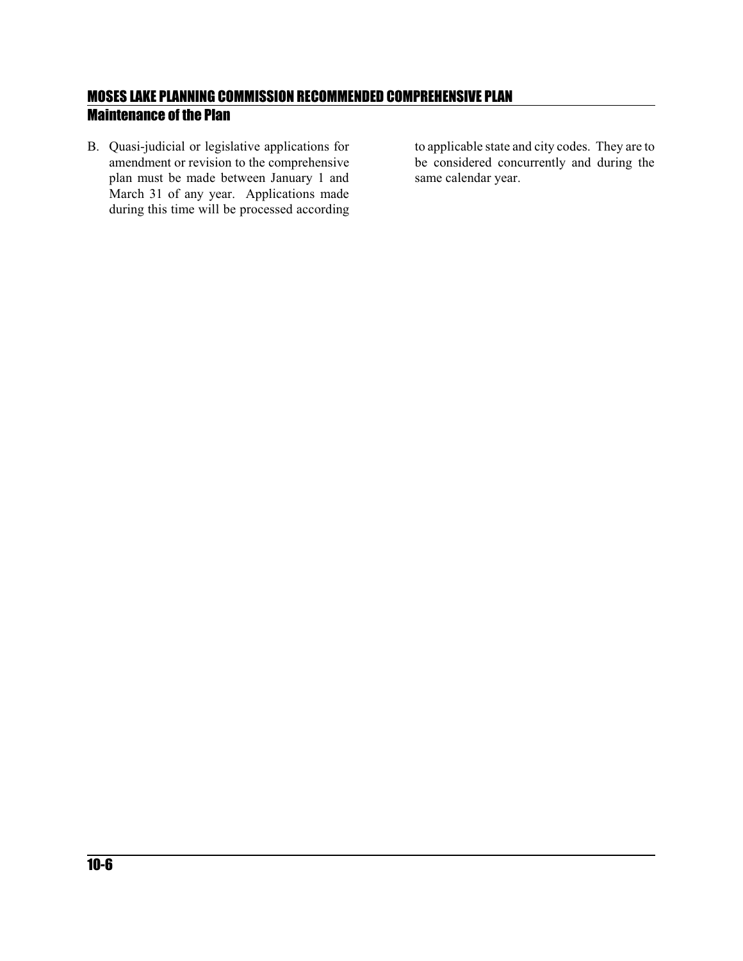B. Quasi-judicial or legislative applications for amendment or revision to the comprehensive plan must be made between January 1 and March 31 of any year. Applications made during this time will be processed according

to applicable state and city codes. They are to be considered concurrently and during the same calendar year.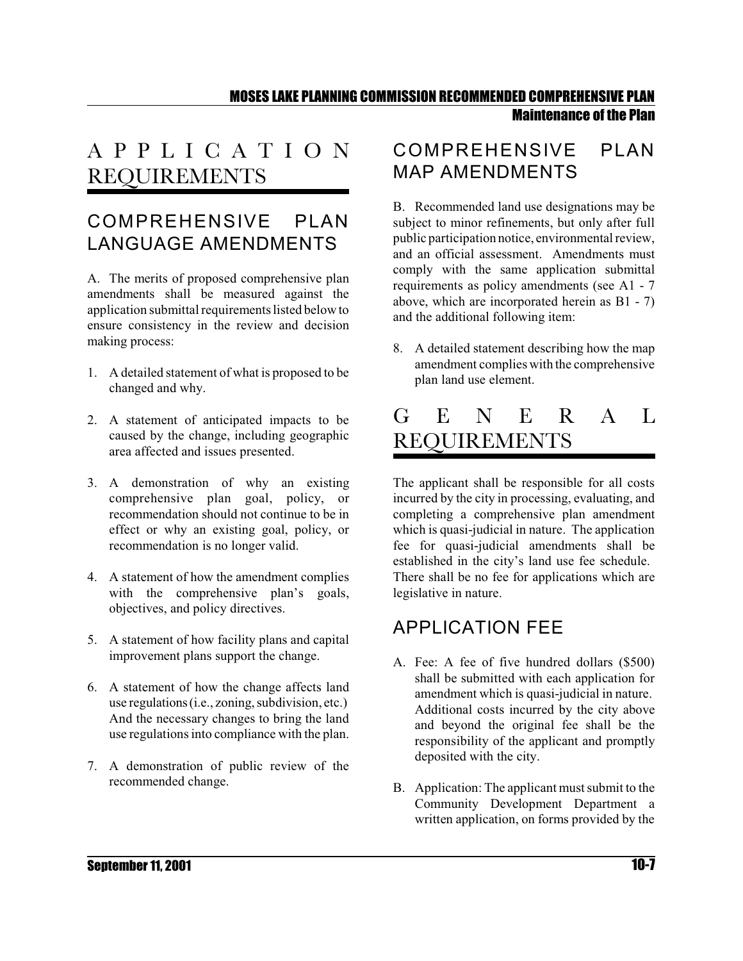## A P P L I C A T I O N REQUIREMENTS

## COMPREHENSIVE PLAN LANGUAGE AMENDMENTS

A. The merits of proposed comprehensive plan amendments shall be measured against the application submittal requirements listed below to ensure consistency in the review and decision making process:

- 1. A detailed statement of what is proposed to be changed and why.
- 2. A statement of anticipated impacts to be caused by the change, including geographic area affected and issues presented.
- 3. A demonstration of why an existing comprehensive plan goal, policy, or recommendation should not continue to be in effect or why an existing goal, policy, or recommendation is no longer valid.
- 4. A statement of how the amendment complies with the comprehensive plan's goals, objectives, and policy directives.
- 5. A statement of how facility plans and capital improvement plans support the change.
- 6. A statement of how the change affects land use regulations (i.e., zoning, subdivision, etc.) And the necessary changes to bring the land use regulations into compliance with the plan.
- 7. A demonstration of public review of the recommended change.

#### COMPREHENSIVE PLAN MAP AMENDMENTS

B. Recommended land use designations may be subject to minor refinements, but only after full public participation notice, environmental review, and an official assessment. Amendments must comply with the same application submittal requirements as policy amendments (see A1 - 7 above, which are incorporated herein as B1 - 7) and the additional following item:

8. A detailed statement describing how the map amendment complies with the comprehensive plan land use element.

## G E N E R A L REQUIREMENTS

The applicant shall be responsible for all costs incurred by the city in processing, evaluating, and completing a comprehensive plan amendment which is quasi-judicial in nature. The application fee for quasi-judicial amendments shall be established in the city's land use fee schedule. There shall be no fee for applications which are legislative in nature.

## APPLICATION FEE

- A. Fee: A fee of five hundred dollars (\$500) shall be submitted with each application for amendment which is quasi-judicial in nature. Additional costs incurred by the city above and beyond the original fee shall be the responsibility of the applicant and promptly deposited with the city.
- B. Application: The applicant must submit to the Community Development Department a written application, on forms provided by the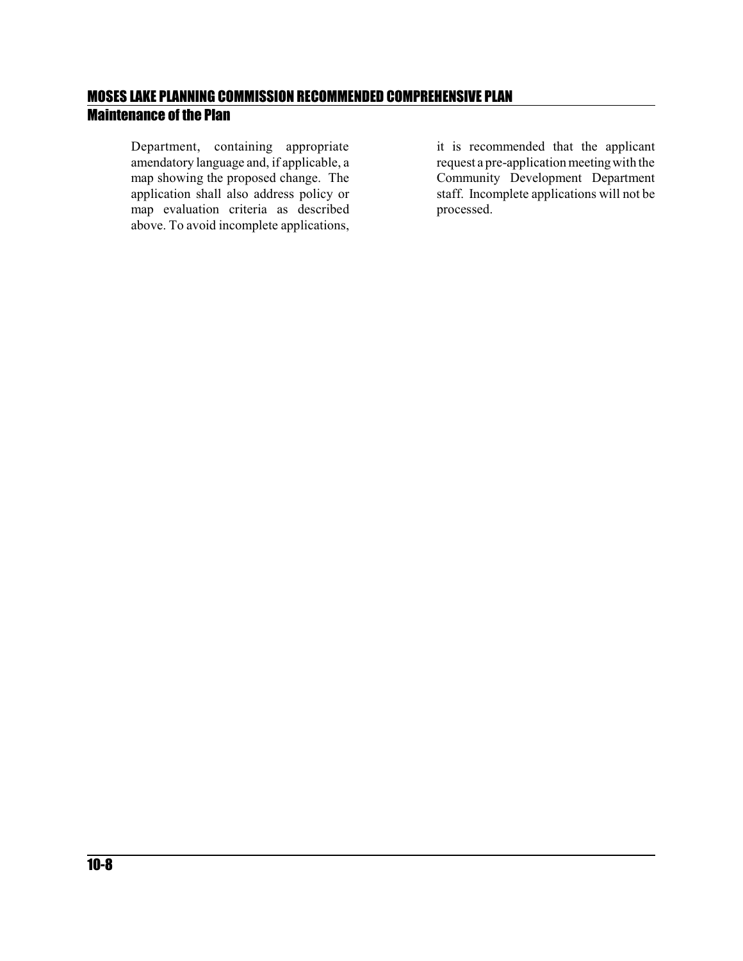Department, containing appropriate amendatory language and, if applicable, a map showing the proposed change. The application shall also address policy or map evaluation criteria as described above. To avoid incomplete applications,

it is recommended that the applicant request a pre-application meeting with the Community Development Department staff. Incomplete applications will not be processed.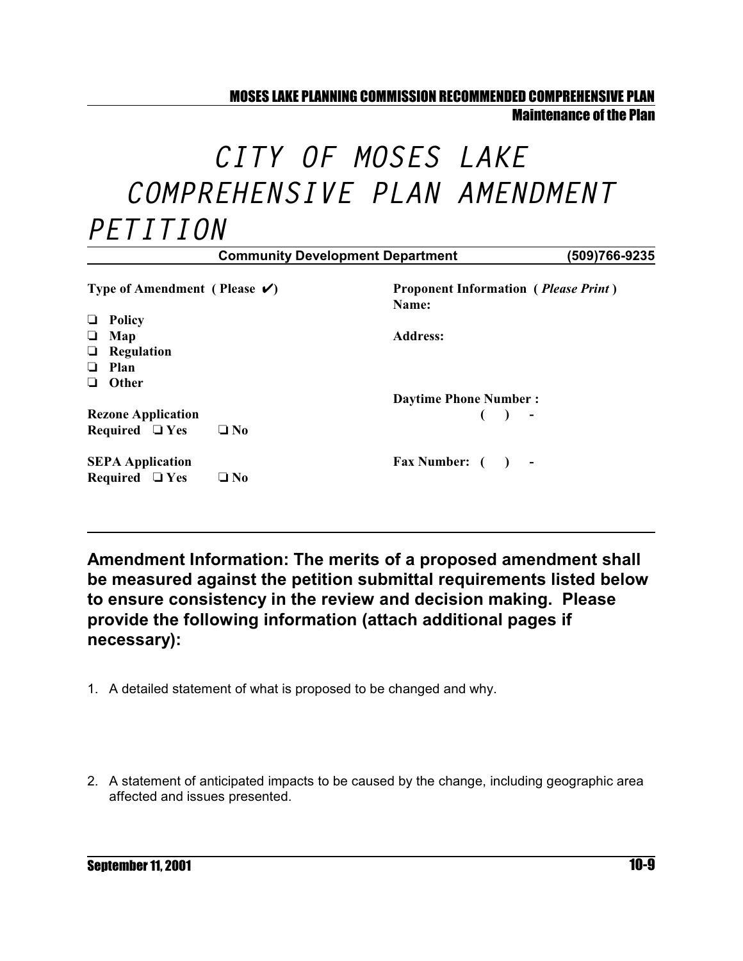#### MOSES LAKE PLANNING COMMISSION RECOMMENDED COMPREHENSIVE PLAN

Maintenance of the Plan

## *CITY OF MOSES LAKE COMPREHENSIVE PLAN AMENDMENT PETITION*

|                                                                 | (509)766-9235<br><b>Community Development Department</b>      |
|-----------------------------------------------------------------|---------------------------------------------------------------|
| Type of Amendment (Please $\checkmark$ )                        | <b>Proponent Information</b> ( <i>Please Print</i> )<br>Name: |
| <b>Policy</b><br>⊔<br>Map<br>┙<br>Regulation<br>u.<br>Plan<br>ப | <b>Address:</b>                                               |
| Other<br>ப                                                      | <b>Daytime Phone Number:</b>                                  |
| <b>Rezone Application</b><br>Required $\Box$ Yes<br>$\Box$ No   | $( )$ -                                                       |
| <b>SEPA Application</b><br>Required $\Box$ Yes<br>$\square$ No  | Fax Number: ()<br>$\sim$ $-$                                  |

**Amendment Information: The merits of a proposed amendment shall be measured against the petition submittal requirements listed below to ensure consistency in the review and decision making. Please provide the following information (attach additional pages if necessary):**

- 1. A detailed statement of what is proposed to be changed and why.
- 2. A statement of anticipated impacts to be caused by the change, including geographic area affected and issues presented.